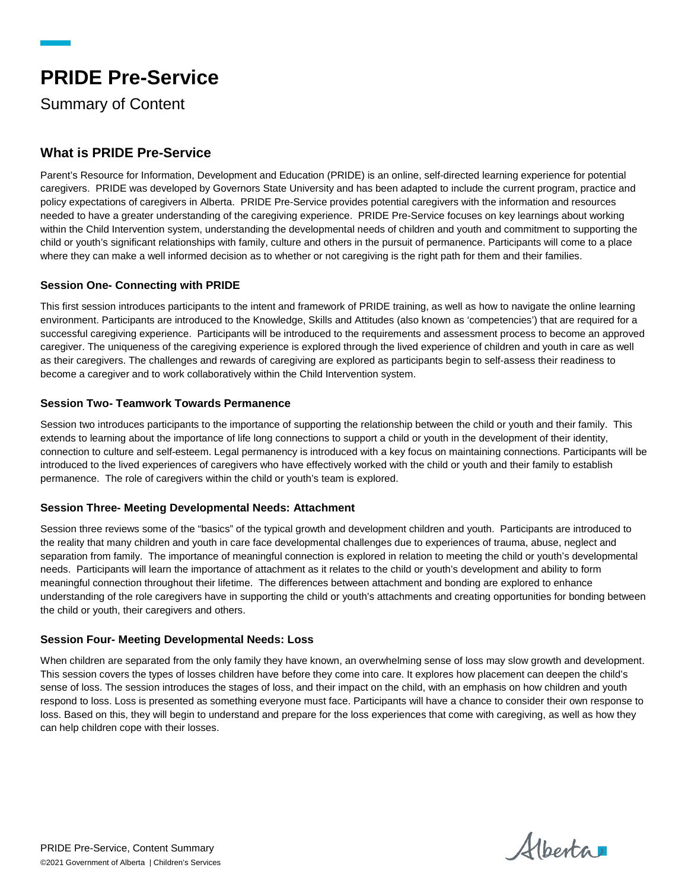# **PRIDE Pre-Service**

Summary of Content

# **What is PRIDE Pre-Service**

Parent's Resource for Information, Development and Education (PRIDE) is an online, self-directed learning experience for potential caregivers. PRIDE was developed by Governors State University and has been adapted to include the current program, practice and policy expectations of caregivers in Alberta. PRIDE Pre-Service provides potential caregivers with the information and resources needed to have a greater understanding of the caregiving experience. PRIDE Pre-Service focuses on key learnings about working within the Child Intervention system, understanding the developmental needs of children and youth and commitment to supporting the child or youth's significant relationships with family, culture and others in the pursuit of permanence. Participants will come to a place where they can make a well informed decision as to whether or not caregiving is the right path for them and their families.

# **Session One- Connecting with PRIDE**

This first session introduces participants to the intent and framework of PRIDE training, as well as how to navigate the online learning environment. Participants are introduced to the Knowledge, Skills and Attitudes (also known as 'competencies') that are required for a successful caregiving experience. Participants will be introduced to the requirements and assessment process to become an approved caregiver. The uniqueness of the caregiving experience is explored through the lived experience of children and youth in care as well as their caregivers. The challenges and rewards of caregiving are explored as participants begin to self-assess their readiness to become a caregiver and to work collaboratively within the Child Intervention system.

# **Session Two- Teamwork Towards Permanence**

Session two introduces participants to the importance of supporting the relationship between the child or youth and their family. This extends to learning about the importance of life long connections to support a child or youth in the development of their identity, connection to culture and self-esteem. Legal permanency is introduced with a key focus on maintaining connections. Participants will be introduced to the lived experiences of caregivers who have effectively worked with the child or youth and their family to establish permanence. The role of caregivers within the child or youth's team is explored.

#### **Session Three- Meeting Developmental Needs: Attachment**

Session three reviews some of the "basics" of the typical growth and development children and youth. Participants are introduced to the reality that many children and youth in care face developmental challenges due to experiences of trauma, abuse, neglect and separation from family. The importance of meaningful connection is explored in relation to meeting the child or youth's developmental needs. Participants will learn the importance of attachment as it relates to the child or youth's development and ability to form meaningful connection throughout their lifetime. The differences between attachment and bonding are explored to enhance understanding of the role caregivers have in supporting the child or youth's attachments and creating opportunities for bonding between the child or youth, their caregivers and others.

#### **Session Four- Meeting Developmental Needs: Loss**

When children are separated from the only family they have known, an overwhelming sense of loss may slow growth and development. This session covers the types of losses children have before they come into care. It explores how placement can deepen the child's sense of loss. The session introduces the stages of loss, and their impact on the child, with an emphasis on how children and youth respond to loss. Loss is presented as something everyone must face. Participants will have a chance to consider their own response to loss. Based on this, they will begin to understand and prepare for the loss experiences that come with caregiving, as well as how they can help children cope with their losses.

Alberta